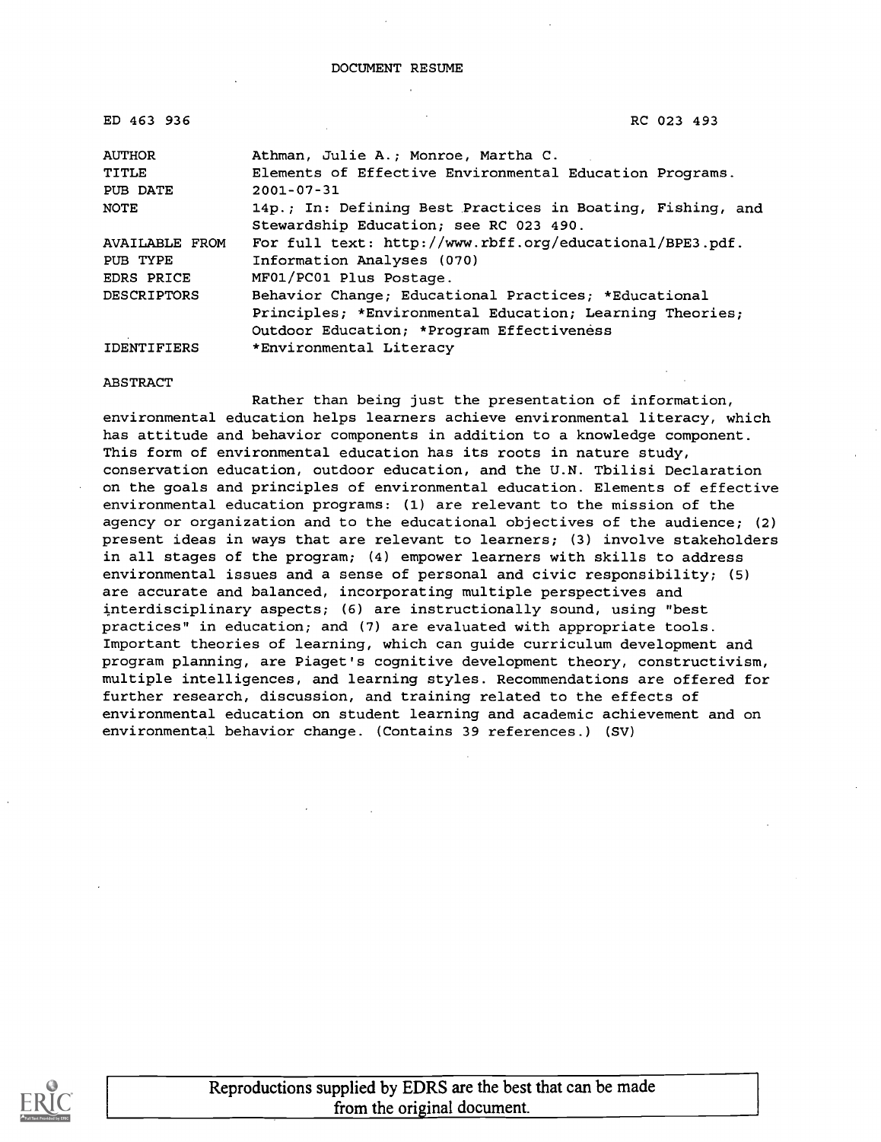| ED 463 936            | RC 023 493                                                 |  |  |  |
|-----------------------|------------------------------------------------------------|--|--|--|
| <b>AUTHOR</b>         | Athman, Julie A.; Monroe, Martha C.                        |  |  |  |
| TITLE                 | Elements of Effective Environmental Education Programs.    |  |  |  |
| PUB DATE              | $2001 - 07 - 31$                                           |  |  |  |
| NOTE                  | 14p.; In: Defining Best Practices in Boating, Fishing, and |  |  |  |
|                       | Stewardship Education; see RC 023 490.                     |  |  |  |
| <b>AVAILABLE FROM</b> | For full text: http://www.rbff.org/educational/BPE3.pdf.   |  |  |  |
| PUB TYPE              | Information Analyses (070)                                 |  |  |  |
| EDRS PRICE            | MF01/PC01 Plus Postage.                                    |  |  |  |
| <b>DESCRIPTORS</b>    | Behavior Change; Educational Practices; *Educational       |  |  |  |
|                       | Principles; *Environmental Education; Learning Theories;   |  |  |  |
|                       | Outdoor Education; *Program Effectiveness                  |  |  |  |
| <b>IDENTIFIERS</b>    | *Environmental Literacy                                    |  |  |  |

ABSTRACT

Rather than being just the presentation of information, environmental education helps learners achieve environmental literacy, which has attitude and behavior components in addition to a knowledge component. This form of environmental education has its roots in nature study, conservation education, outdoor education, and the U.N. Tbilisi Declaration on the goals and principles of environmental education. Elements of effective environmental education programs: (1) are relevant to the mission of the agency or organization and to the educational objectives of the audience; (2) present ideas in ways that are relevant to learners; (3) involve stakeholders in all stages of the program; (4) empower learners with skills to address environmental issues and a sense of personal and civic responsibility; (5) are accurate and balanced, incorporating multiple perspectives and interdisciplinary aspects; (6) are instructionally sound, using "best practices" in education; and (7) are evaluated with appropriate tools. Important theories of learning, which can guide curriculum development and program planning, are Piaget's cognitive development theory, constructivism, multiple intelligences, and learning styles. Recommendations are offered for further research, discussion, and training related to the effects of environmental education on student learning and academic achievement and on environmental behavior change. (Contains 39 references.) (SV)

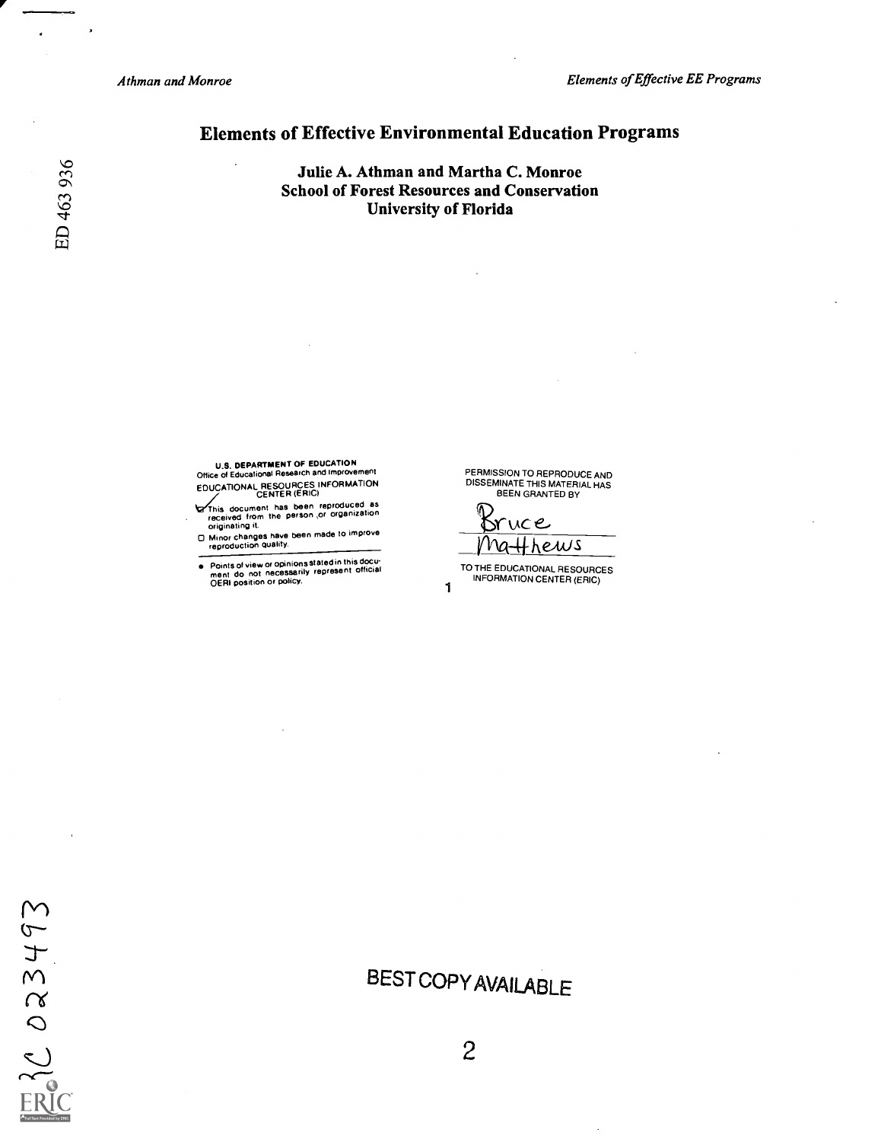Athman and Monroe Elements of Effective EE Programs

### Elements of Effective Environmental Education Programs

Julie A. Athman and Martha C. Monroe School of Forest Resources and Conservation University of Florida

U.S. DEPARTMENT OF EDUCATION<br>Office of Educational Research and Improvement Office of Educational Research and Improvement

EDUCATIONAL RESOURCES INFORMATION<br>This document has been reproduced as<br>received from the person ,or organization<br>originating it.

0 Minor changes have been made to improve reproduction quality.

Points of view or opinions stated in this docu- ment do not necessarily represent official  $\bullet$ OERI position or policy.<br>1

PERMISSION TO REPRODUCE AND DISSEMINATE THIS MATERIAL HAS BEEN GRANTED BY

vce Ma<del>ll</del>hews

TO THE EDUCATIONAL RESOURCES INFORMATION CENTER (ERIC)

# BEST COPYAVAILABLE

 $\ddot{\phantom{a}}$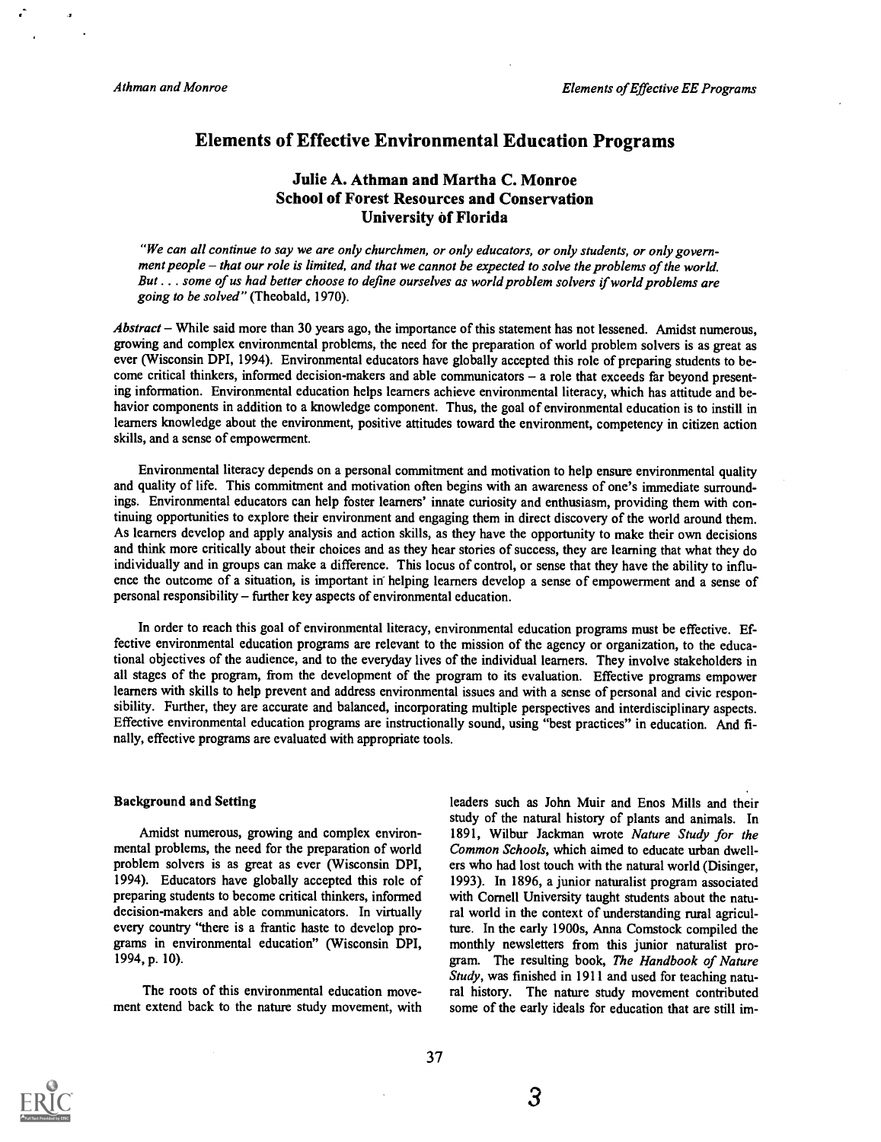### Elements of Effective Environmental Education Programs

### Julie A. Athman and Martha C. Monroe School of Forest Resources and Conservation University of Florida

"We can all continue to say we are only churchmen, or only educators, or only students, or only government people - that our role is limited, and that we cannot be expected to solve the problems of the world. But . . . some of us had better choose to define ourselves as world problem solvers if world problems are going to be solved" (Theobald, 1970).

 $Abstract$  – While said more than 30 years ago, the importance of this statement has not lessened. Amidst numerous, growing and complex environmental problems, the need for the preparation of world problem solvers is as great as ever (Wisconsin DPI, 1994). Environmental educators have globally accepted this role of preparing students to become critical thinkers, informed decision-makers and able communicators - a role that exceeds far beyond presenting information. Environmental education helps learners achieve environmental literacy, which has attitude and behavior components in addition to a knowledge component. Thus, the goal of environmental education is to instill in learners knowledge about the environment, positive attitudes toward the environment, competency in citizen action skills, and a sense of empowerment.

Environmental literacy depends on a personal commitment and motivation to help ensure environmental quality and quality of life. This commitment and motivation often begins with an awareness of one's immediate surroundings. Environmental educators can help foster learners' innate curiosity and enthusiasm, providing them with continuing opportunities to explore their environment and engaging them in direct discovery of the world around them. As learners develop and apply analysis and action skills, as they have the opportunity to make their own decisions and think more critically about their choices and as they hear stories of success, they are learning that what they do individually and in groups can make a difference. This locus of control, or sense that they have the ability to influence the outcome of a situation, is important in helping learners develop a sense of empowerment and a sense of personal responsibility – further key aspects of environmental education.

In order to reach this goal of environmental literacy, environmental education programs must be effective. Effective environmental education programs are relevant to the mission of the agency or organization, to the educational objectives of the audience, and to the everyday lives of the individual learners. They involve stakeholders in all stages of the program, from the development of the program to its evaluation. Effective programs empower learners with skills to help prevent and address environmental issues and with a sense of personal and civic responsibility. Further, they are accurate and balanced, incorporating multiple perspectives and interdisciplinary aspects. Effective environmental education programs are instructionally sound, using "best practices" in education. And finally, effective programs are evaluated with appropriate tools.

#### Background and Setting

Amidst numerous, growing and complex environmental problems, the need for the preparation of world problem solvers is as great as ever (Wisconsin DPI, 1994). Educators have globally accepted this role of preparing students to become critical thinkers, informed decision-makers and able communicators. In virtually every country "there is a frantic haste to develop programs in environmental education" (Wisconsin DPI, 1994, p. 10).

The roots of this environmental education movement extend back to the nature study movement, with leaders such as John Muir and Enos Mills and their study of the natural history of plants and animals. In 1891, Wilbur Jackman wrote Nature Study for the Common Schools, which aimed to educate urban dwellers who had lost touch with the natural world (Disinger, 1993). In 1896, a junior naturalist program associated with Cornell University taught students about the natural world in the context of understanding rural agriculture. In the early 1900s, Anna Comstock compiled the monthly newsletters from this junior naturalist program. The resulting book, The Handbook of Nature Study, was finished in 1911 and used for teaching natural history. The nature study movement contributed some of the early ideals for education that are still im-

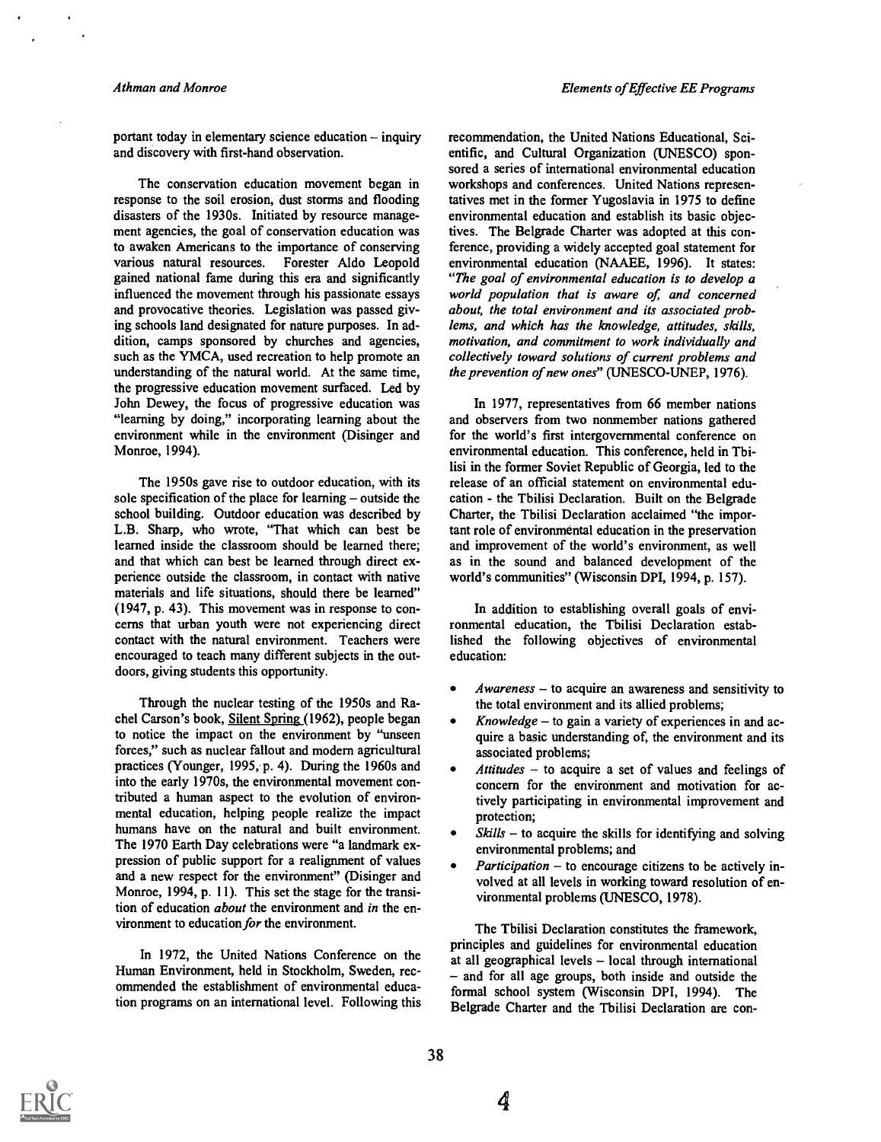portant today in elementary science education  $-$  inquiry and discovery with first-hand observation.

The conservation education movement began in response to the soil erosion, dust storms and flooding disasters of the 1930s. Initiated by resource management agencies, the goal of conservation education was to awaken Americans to the importance of conserving various natural resources. Forester Aldo Leopold gained national fame during this era and significantly influenced the movement through his passionate essays and provocative theories. Legislation was passed giving schools land designated for nature purposes. In addition, camps sponsored by churches and agencies, such as the YMCA, used recreation to help promote an understanding of the natural world. At the same time, the progressive education movement surfaced. Led by John Dewey, the focus of progressive education was "learning by doing," incorporating learning about the environment while in the environment (Disinger and Monroe, 1994).

The 1950s gave rise to outdoor education, with its sole specification of the place for learning  $-\omega$  outside the school building. Outdoor education was described by L.B. Sharp, who wrote, "That which can best be learned inside the classroom should be learned there; and that which can best be learned through direct experience outside the classroom, in contact with native materials and life situations, should there be learned" (1947, p. 43). This movement was in response to concerns that urban youth were not experiencing direct contact with the natural environment. Teachers were encouraged to teach many different subjects in the outdoors, giving students this opportunity.

Through the nuclear testing of the 1950s and Rachel Carson's book, Silent Spring (1962), people began to notice the impact on the environment by "unseen forces," such as nuclear fallout and modern agricultural practices (Younger, 1995, p. 4). During the 1960s and into the early 1970s, the environmental movement contributed a human aspect to the evolution of environmental education, helping people realize the impact humans have on the natural and built environment. The 1970 Earth Day celebrations were "a landmark expression of public support for a realignment of values and a new respect for the environment" (Disinger and Monroe, 1994, p. 11). This set the stage for the transition of education *about* the environment and in the environment to education for the environment.

In 1972, the United Nations Conference on the Human Environment, held in Stockholm, Sweden, recommended the establishment of environmental education programs on an international level. Following this recommendation, the United Nations Educational, Scientific, and Cultural Organization (UNESCO) sponsored a series of international environmental education workshops and conferences. United Nations representatives met in the former Yugoslavia in 1975 to define environmental education and establish its basic objectives. The Belgrade Charter was adopted at this conference, providing a widely accepted goal statement for environmental education (NAAEE, 1996). It states: "The goal of environmental education is to develop a world population that is aware of, and concerned about, the total environment and its associated problems, and which has the knowledge, attitudes, skills, motivation, and commitment to work individually and collectively toward solutions of current problems and the prevention of new ones" (UNESCO-UNEP, 1976).

In 1977, representatives from 66 member nations and observers from two nonmember nations gathered for the world's first intergovernmental conference on environmental education. This conference, held in Tbilisi in the former Soviet Republic of Georgia, led to the release of an official statement on environmental education - the Tbilisi Declaration. Built on the Belgrade Charter, the Tbilisi Declaration acclaimed "the important role of environmental education in the preservation and improvement of the world's environment, as well as in the sound and balanced development of the world's communities" (Wisconsin DPI, 1994, p. 157).

In addition to establishing overall goals of environmental education, the Tbilisi Declaration established the following objectives of environmental education:

- $Awareness to acquire an awareness and sensitivity to$ the total environment and its allied problems;
- Knowledge  $-$  to gain a variety of experiences in and acquire a basic understanding of, the environment and its associated problems;
- Attitudes  $-$  to acquire a set of values and feelings of concern for the environment and motivation for actively participating in environmental improvement and protection;
- $S$ *kills* to acquire the skills for identifying and solving environmental problems; and
- *Participation*  $-$  to encourage citizens to be actively involved at all levels in working toward resolution of environmental problems (UNESCO, 1978).

The Tbilisi Declaration constitutes the framework, principles and guidelines for environmental education at all geographical levels  $-$  local through international and for all age groups, both inside and outside the formal school system (Wisconsin DPI, 1994). The Belgrade Charter and the Tbilisi Declaration are con-

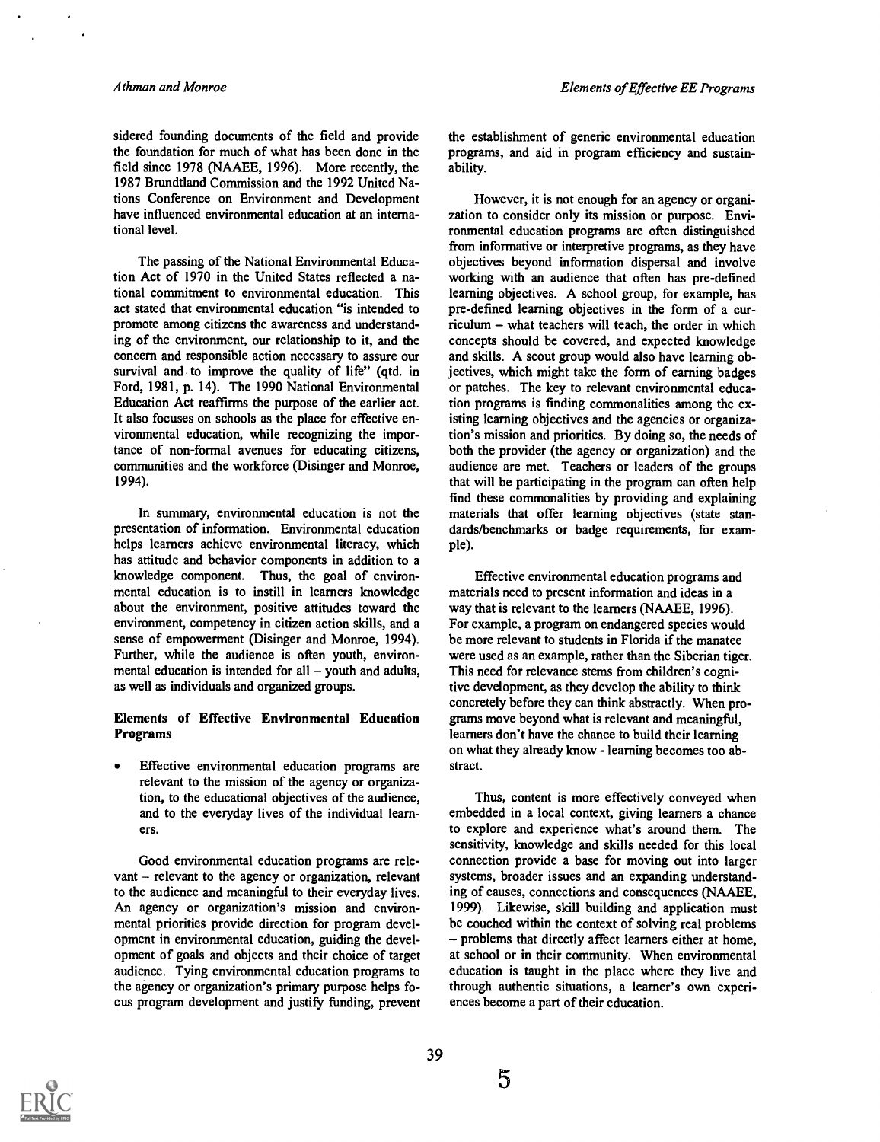sidered founding documents of the field and provide the foundation for much of what has been done in the field since 1978 (NAAEE, 1996). More recently, the 1987 Brundtland Commission and the 1992 United Nations Conference on Environment and Development have influenced environmental education at an international level.

The passing of the National Environmental Education Act of 1970 in the United States reflected a national commitment to environmental education. This act stated that environmental education "is intended to promote among citizens the awareness and understanding of the environment, our relationship to it, and the concern and responsible action necessary to assure our survival and to improve the quality of life" (qtd. in Ford, 1981, p. 14). The 1990 National Environmental Education Act reaffirms the purpose of the earlier act. It also focuses on schools as the place for effective environmental education, while recognizing the importance of non-formal avenues for educating citizens, communities and the workforce (Disinger and Monroe, 1994).

In summary, environmental education is not the presentation of information. Environmental education helps learners achieve environmental literacy, which has attitude and behavior components in addition to a knowledge component. Thus, the goal of environmental education is to instill in learners knowledge about the environment, positive attitudes toward the environment, competency in citizen action skills, and a sense of empowerment (Disinger and Monroe, 1994). Further, while the audience is often youth, environmental education is intended for all  $-$  youth and adults, as well as individuals and organized groups.

#### Elements of Effective Environmental Education Programs

Effective environmental education programs are relevant to the mission of the agency or organization, to the educational objectives of the audience, and to the everyday lives of the individual learn ers.

Good environmental education programs are relevant  $-$  relevant to the agency or organization, relevant to the audience and meaningful to their everyday lives. An agency or organization's mission and environmental priorities provide direction for program development in environmental education, guiding the development of goals and objects and their choice of target audience. Tying environmental education programs to the agency or organization's primary purpose helps focus program development and justify funding, prevent

the establishment of generic environmental education programs, and aid in program efficiency and sustainability.

However, it is not enough for an agency or organization to consider only its mission or purpose. Environmental education programs are often distinguished from informative or interpretive programs, as they have objectives beyond information dispersal and involve working with an audience that often has pre-defined learning objectives. A school group, for example, has pre-defined learning objectives in the form of a cur $riculum - what teachers will teach, the order in which$ concepts should be covered, and expected knowledge and skills. A scout group would also have learning objectives, which might take the form of earning badges or patches. The key to relevant environmental education programs is finding commonalities among the existing learning objectives and the agencies or organization's mission and priorities. By doing so, the needs of both the provider (the agency or organization) and the audience are met. Teachers or leaders of the groups that will be participating in the program can often help find these commonalities by providing and explaining materials that offer learning objectives (state standards/benchmarks or badge requirements, for example).

Effective environmental education programs and materials need to present information and ideas in a way that is relevant to the learners (NAAEE, 1996). For example, a program on endangered species would be more relevant to students in Florida if the manatee were used as an example, rather than the Siberian tiger. This need for relevance stems from children's cognitive development, as they develop the ability to think concretely before they can think abstractly. When programs move beyond what is relevant and meaningful, learners don't have the chance to build their learning on what they already know - learning becomes too abstract.

Thus, content is more effectively conveyed when embedded in a local context, giving learners a chance to explore and experience what's around them. The sensitivity, knowledge and skills needed for this local connection provide a base for moving out into larger systems, broader issues and an expanding understanding of causes, connections and consequences (NAAEE, 1999). Likewise, skill building and application must be couched within the context of solving real problems - problems that directly affect learners either at home, at school or in their community. When environmental education is taught in the place where they live and through authentic situations, a learner's own experiences become a part of their education.

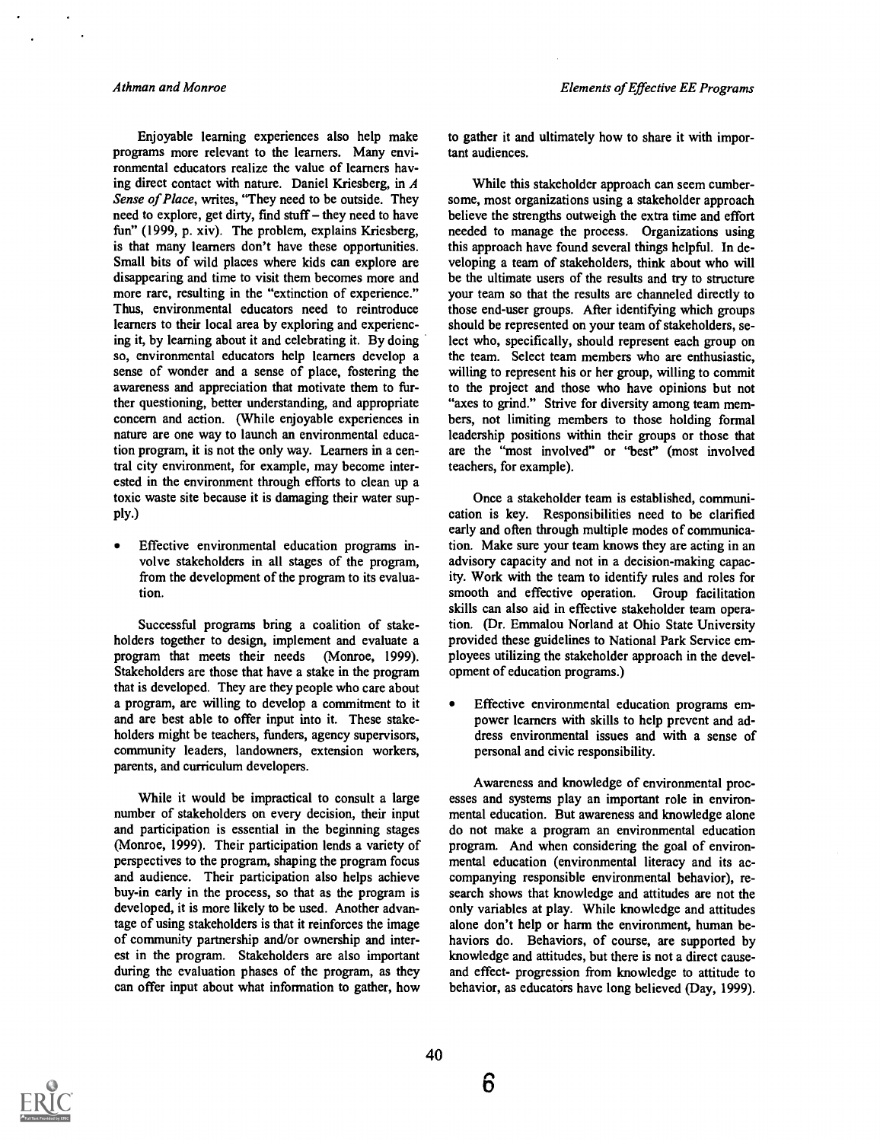Enjoyable learning experiences also help make programs more relevant to the learners. Many environmental educators realize the value of learners having direct contact with nature. Daniel Kriesberg, in A Sense of Place, writes, "They need to be outside. They need to explore, get dirty, find stuff - they need to have fun" (1999, p. xiv). The problem, explains Kriesberg, is that many learners don't have these opportunities. Small bits of wild places where kids can explore are disappearing and time to visit them becomes more and more rare, resulting in the "extinction of experience." Thus, environmental educators need to reintroduce learners to their local area by exploring and experiencing it, by learning about it and celebrating it. By doing so, environmental educators help learners develop a sense of wonder and a sense of place, fostering the awareness and appreciation that motivate them to further questioning, better understanding, and appropriate concern and action. (While enjoyable experiences in nature are one way to launch an environmental education program, it is not the only way. Learners in a central city environment, for example, may become interested in the environment through efforts to clean up a toxic waste site because it is damaging their water supply.)

Effective environmental education programs in- $\bullet$ volve stakeholders in all stages of the program, from the development of the program to its evaluation.

Successful programs bring a coalition of stakeholders together to design, implement and evaluate a program that meets their needs (Monroe, 1999). Stakeholders are those that have a stake in the program that is developed. They are they people who care about a program, are willing to develop a commitment to it and are best able to offer input into it. These stakeholders might be teachers, funders, agency supervisors, community leaders, landowners, extension workers, parents, and curriculum developers.

While it would be impractical to consult a large number of stakeholders on every decision, their input and participation is essential in the beginning stages (Monroe, 1999). Their participation lends a variety of perspectives to the program, shaping the program focus and audience. Their participation also helps achieve buy-in early in the process, so that as the program is developed, it is more likely to be used. Another advantage of using stakeholders is that it reinforces the image of community partnership and/or ownership and interest in the program. Stakeholders are also important during the evaluation phases of the program, as they can offer input about what information to gather, how to gather it and ultimately how to share it with important audiences.

While this stakeholder approach can seem cumbersome, most organizations using a stakeholder approach believe the strengths outweigh the extra time and effort needed to manage the process. Organizations using this approach have found several things helpful. In developing a team of stakeholders, think about who will be the ultimate users of the results and try to structure your team so that the results are channeled directly to those end-user groups. After identifying which groups should be represented on your team of stakeholders, select who, specifically, should represent each group on the team. Select team members who are enthusiastic, willing to represent his or her group, willing to commit to the project and those who have opinions but not "axes to grind." Strive for diversity among team members, not limiting members to those holding formal leadership positions within their groups or those that are the "most involved" or "best" (most involved teachers, for example).

Once a stakeholder team is established, communication is key. Responsibilities need to be clarified early and often through multiple modes of communication. Make sure your team knows they are acting in an advisory capacity and not in a decision-making capacity. Work with the team to identify rules and roles for smooth and effective operation. Group facilitation skills can also aid in effective stakeholder team operation. (Dr. Emmalou Norland at Ohio State University provided these guidelines to National Park Service employees utilizing the stakeholder approach in the development of education programs.)

Effective environmental education programs empower learners with skills to help prevent and address environmental issues and with a sense of personal and civic responsibility.

Awareness and knowledge of environmental processes and systems play an important role in environmental education. But awareness and knowledge alone do not make a program an environmental education program. And when considering the goal of environmental education (environmental literacy and its accompanying responsible environmental behavior), research shows that knowledge and attitudes are not the only variables at play. While knowledge and attitudes alone don't help or harm the environment, human behaviors do. Behaviors, of course, are supported by knowledge and attitudes, but there is not a direct causeand effect- progression from knowledge to attitude to behavior, as educators have long believed (Day, 1999).

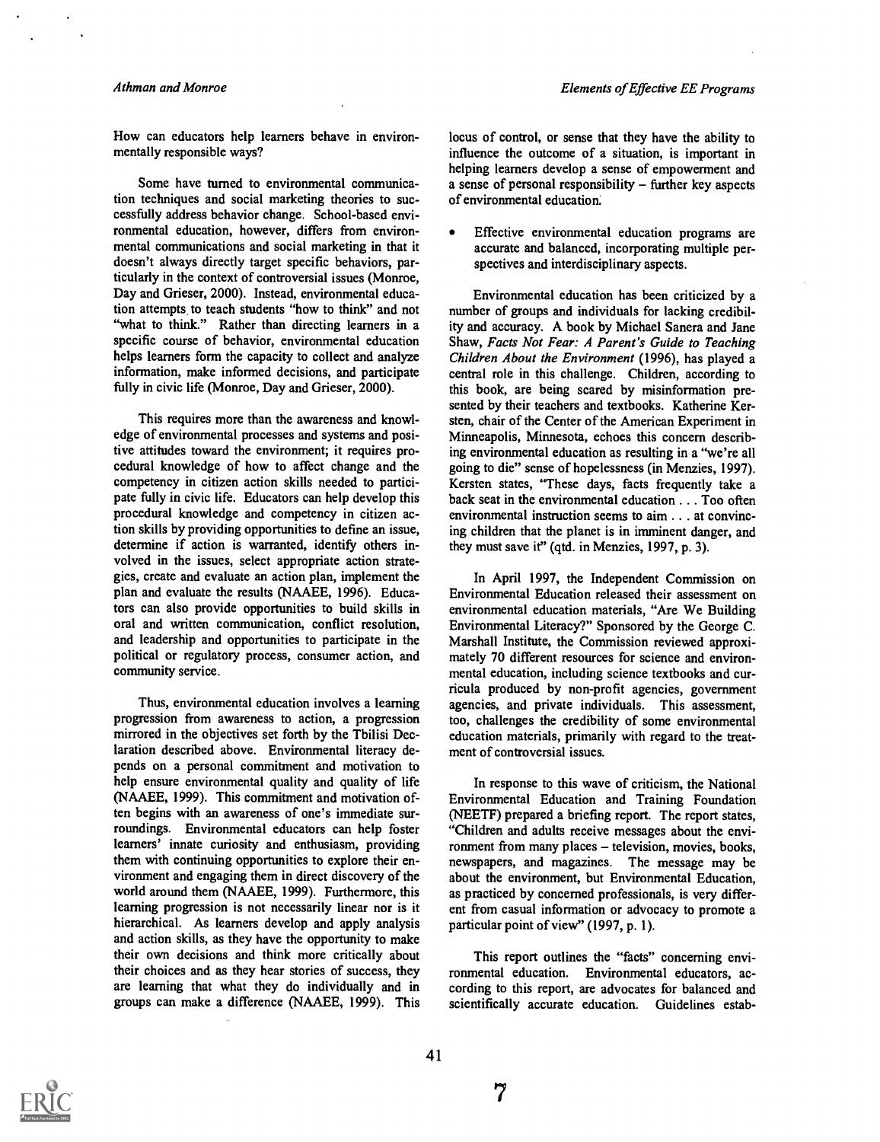How can educators help learners behave in environmentally responsible ways?

Some have turned to environmental communication techniques and social marketing theories to successfully address behavior change. School-based environmental education, however, differs from environmental communications and social marketing in that it doesn't always directly target specific behaviors, particularly in the context of controversial issues (Monroe, Day and Grieser, 2000). Instead, environmental education attempts, to teach students "how to think" and not "what to think." Rather than directing learners in a specific course of behavior, environmental education helps learners form the capacity to collect and analyze information, make informed decisions, and participate fully in civic life (Monroe, Day and Grieser, 2000).

This requires more than the awareness and knowledge of environmental processes and systems and positive attitudes toward the environment; it requires procedural knowledge of how to affect change and the competency in citizen action skills needed to participate fully in civic life. Educators can help develop this procedural knowledge and competency in citizen action skills by providing opportunities to define an issue, determine if action is warranted, identify others involved in the issues, select appropriate action strategies, create and evaluate an action plan, implement the plan and evaluate the results (NAAEE, 1996). Educators can also provide opportunities to build skills in oral and written communication, conflict resolution, and leadership and opportunities to participate in the political or regulatory process, consumer action, and community service.

Thus, environmental education involves a learning progression from awareness to action, a progression mirrored in the objectives set forth by the Tbilisi Declaration described above. Environmental literacy depends on a personal commitment and motivation to help ensure environmental quality and quality of life (NAAEE, 1999). This commitment and motivation often begins with an awareness of one's immediate surroundings. Environmental educators can help foster learners' innate curiosity and enthusiasm, providing them with continuing opportunities to explore their environment and engaging them in direct discovery of the world around them (NAAEE, 1999). Furthermore, this learning progression is not necessarily linear nor is it hierarchical. As learners develop and apply analysis and action skills, as they have the opportunity to make their own decisions and think more critically about their choices and as they hear stories of success, they are learning that what they do individually and in groups can make a difference (NAAEE, 1999). This

locus of control, or sense that they have the ability to influence the outcome of a situation, is important in helping learners develop a sense of empowerment and a sense of personal responsibility  $-$  further key aspects of environmental education.

 $\bullet$ Effective environmental education programs are accurate and balanced, incorporating multiple perspectives and interdisciplinary aspects.

Environmental education has been criticized by a number of groups and individuals for lacking credibility and accuracy. A book by Michael Sanera and Jane Shaw, Facts Not Fear: A Parent's Guide to Teaching Children About the Environment (1996), has played a central role in this challenge. Children, according to this book, are being scared by misinformation presented by their teachers and textbooks. Katherine Kersten, chair of the Center of the American Experiment in Minneapolis, Minnesota, echoes this concern describing environmental education as resulting in a "we're all going to die" sense of hopelessness (in Menzies, 1997). Kersten states, "These days, facts frequently take a back seat in the environmental education . . . Too often environmental instruction seems to aim . . . at convincing children that the planet is in imminent danger, and they must save it" (qtd. in Menzies, 1997, p. 3).

In April 1997, the Independent Commission on Environmental Education released their assessment on environmental education materials, "Are We Building Environmental Literacy?" Sponsored by the George C. Marshall Institute, the Commission reviewed approximately 70 different resources for science and environmental education, including science textbooks and curricula produced by non-profit agencies, government agencies, and private individuals. This assessment, too, challenges the credibility of some environmental education materials, primarily with regard to the treatment of controversial issues.

In response to this wave of criticism, the National Environmental Education and Training Foundation (NEETF) prepared a briefing report. The report states, "Children and adults receive messages about the environment from many places – television, movies, books, newspapers, and magazines. The message may be about the environment, but Environmental Education, as practiced by concerned professionals, is very different from casual information or advocacy to promote a particular point of view" (1997, p. 1).

This report outlines the "facts" concerning environmental education. Environmental educators, according to this report, are advocates for balanced and scientifically accurate education. Guidelines estab-

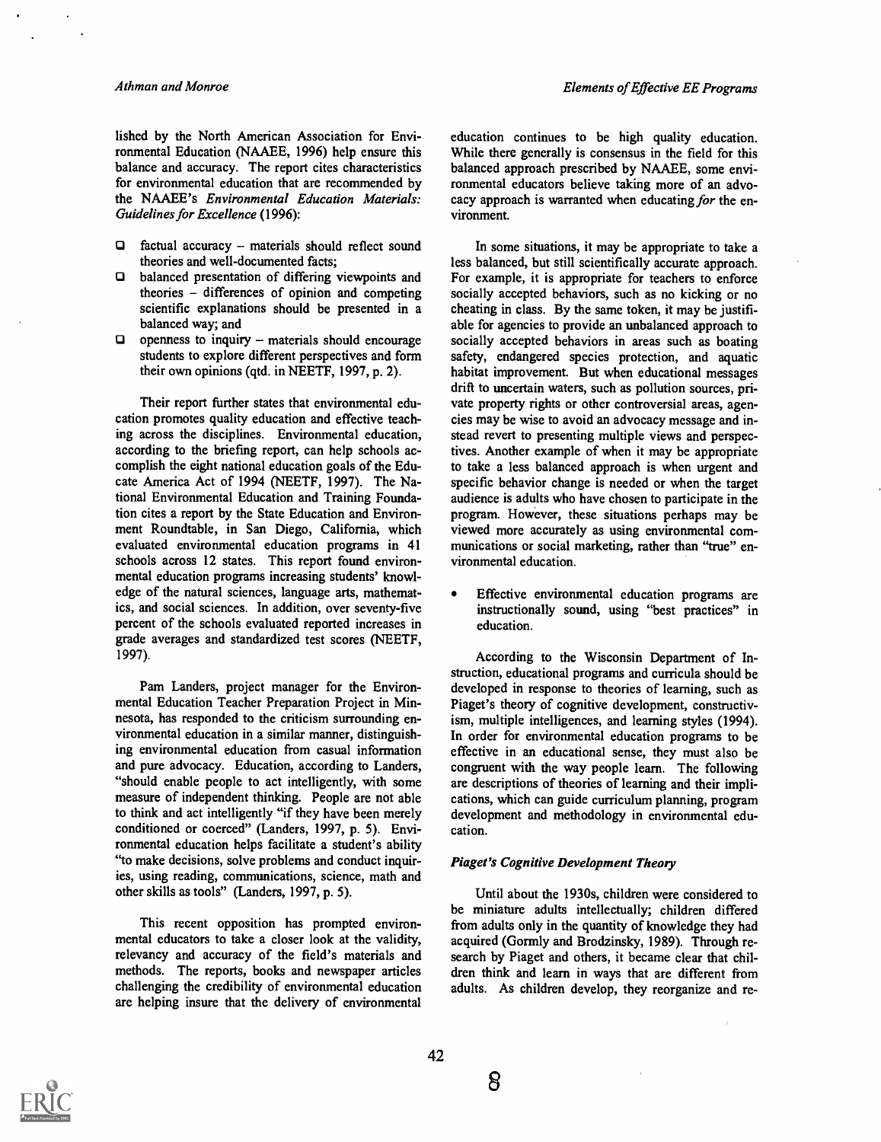lished by the North American Association for Environmental Education (NAAEE, 1996) help ensure this balance and accuracy. The report cites characteristics for environmental education that are recommended by the NAAEE's Environmental Education Materials: Guidelines for Excellence (1996):

- $\Box$  factual accuracy materials should reflect sound theories and well-documented facts;
- $\Box$ balanced presentation of differing viewpoints and theories  $-$  differences of opinion and competing scientific explanations should be presented in a balanced way; and
- O. openness to inquiry  $-$  materials should encourage students to explore different perspectives and form their own opinions (qtd. in NEETF, 1997, p. 2).

Their report further states that environmental education promotes quality education and effective teaching across the disciplines. Environmental education, according to the briefmg report, can help schools accomplish the eight national education goals of the Educate America Act of 1994 (NEETF, 1997). The National Environmental Education and Training Foundation cites a report by the State Education and Environment Roundtable, in San Diego, California, which evaluated environmental education programs in 41 schools across 12 states. This report found environmental education programs increasing students' knowledge of the natural sciences, language arts, mathematics, and social sciences. In addition, over seventy-five percent of the schools evaluated reported increases in grade averages and standardized test scores (NEETF, 1997).

Pam Landers, project manager for the Environmental Education Teacher Preparation Project in Minnesota, has responded to the criticism surrounding environmental education in a similar manner, distinguishing environmental education from casual information and pure advocacy. Education, according to Landers, "should enable people to act intelligently, with some measure of independent thinking. People are not able to think and act intelligently "if they have been merely conditioned or coerced" (Landers, 1997, p. 5). Environmental education helps facilitate a student's ability "to make decisions, solve problems and conduct inquiries, using reading, communications, science, math and other skills as tools" (Landers, 1997, p. 5).

This recent opposition has prompted environmental educators to take a closer look at the validity, relevancy and accuracy of the field's materials and methods. The reports, books and newspaper articles challenging the credibility of environmental education are helping insure that the delivery of environmental

education continues to be high quality education. While there generally is consensus in the field for this balanced approach prescribed by NAAEE, some environmental educators believe taking more of an advocacy approach is warranted when educating for the environment.

In some situations, it may be appropriate to take a less balanced, but still scientifically accurate approach. For example, it is appropriate for teachers to enforce socially accepted behaviors, such as no kicking or no cheating in class. By the same token, it may be justifiable for agencies to provide an unbalanced approach to socially accepted behaviors in areas such as boating safety, endangered species protection, and aquatic habitat improvement. But when educational messages drift to uncertain waters, such as pollution sources, private property rights or other controversial areas, agencies may be wise to avoid an advocacy message and instead revert to presenting multiple views and perspectives. Another example of when it may be appropriate to take a less balanced approach is when urgent and specific behavior change is needed or when the target audience is adults who have chosen to participate in the program. However, these situations perhaps may be viewed more accurately as using environmental communications or social marketing, rather than "true" environmental education.

Effective environmental education programs are instructionally sound, using "best practices" in education.

According to the Wisconsin Department of Instruction, educational programs and curricula should be developed in response to theories of learning, such as Piaget's theory of cognitive development, constructivism, multiple intelligences, and learning styles (1994). In order for environmental education programs to be effective in an educational sense, they must also be congruent with the way people learn. The following are descriptions of theories of learning and their implications, which can guide curriculum planning, program development and methodology in environmental education.

#### Piaget's Cognitive Development Theory

Until about the 1930s, children were considered to be miniature adults intellectually; children differed from adults only in the quantity of knowledge they had acquired (Gormly and Brodzinsky, 1989). Through research by Piaget and others, it became clear that children think and learn in ways that are different from adults. As children develop, they reorganize and re-

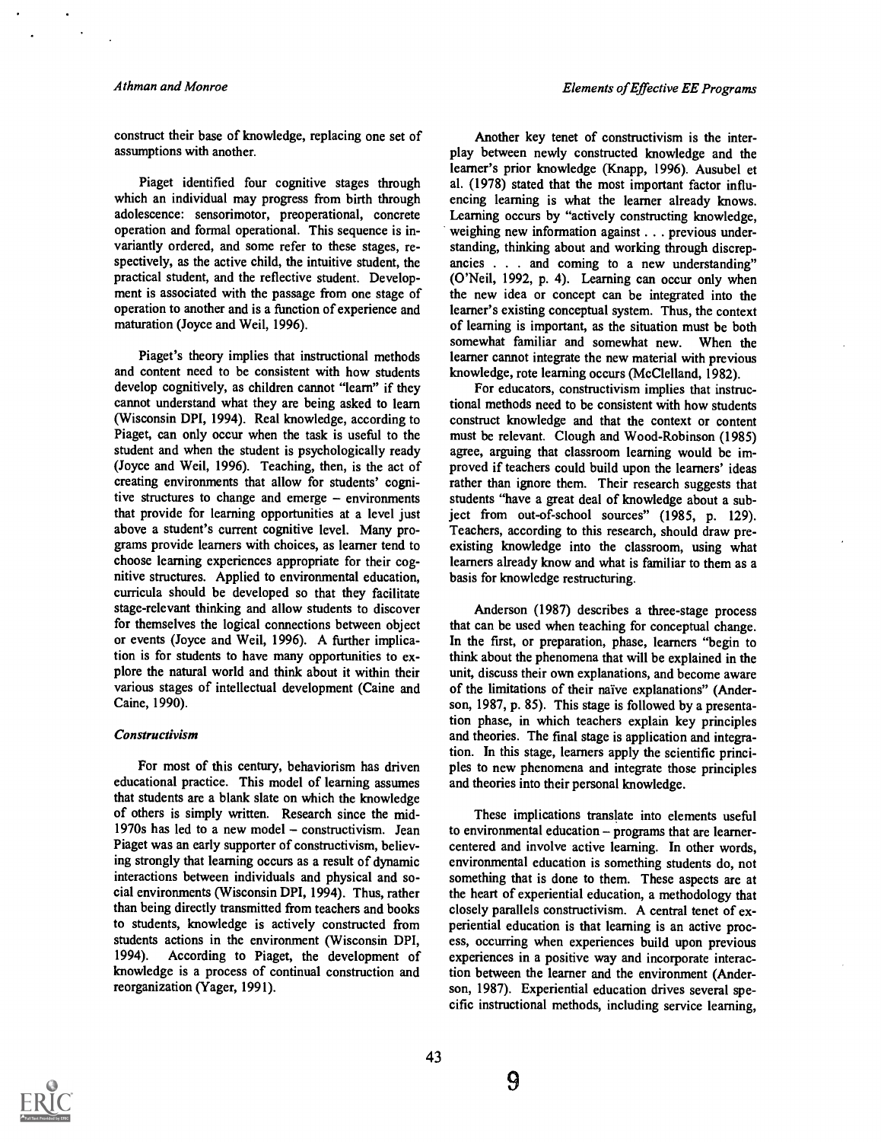#### Athman and Monroe

construct their base of knowledge, replacing one set of assumptions with another.

Piaget identified four cognitive stages through which an individual may progress from birth through adolescence: sensorimotor, preoperational, concrete operation and formal operational. This sequence is invariantly ordered, and some refer to these stages, respectively, as the active child, the intuitive student, the practical student, and the reflective student. Development is associated with the passage from one stage of operation to another and is a function of experience and maturation (Joyce and Weil, 1996).

Piaget's theory implies that instructional methods and content need to be consistent with how students develop cognitively, as children cannot "learn" if they cannot understand what they are being asked to learn (Wisconsin DPI, 1994). Real knowledge, according to Piaget, can only occur when the task is useful to the student and when the student is psychologically ready (Joyce and Weil, 1996). Teaching, then, is the act of creating environments that allow for students' cognitive structures to change and emerge  $-$  environments that provide for learning opportunities at a level just above a student's current cognitive level. Many programs provide learners with choices, as learner tend to choose learning experiences appropriate for their cognitive structures. Applied to environmental education, curricula should be developed so that they facilitate stage-relevant thinking and allow students to discover for themselves the logical connections between object or events (Joyce and Weil, 1996). A further implication is for students to have many opportunities to explore the natural world and think about it within their various stages of intellectual development (Caine and Caine, 1990).

#### Constructivism

For most of this century, behaviorism has driven educational practice. This model of learning assumes that students are a blank slate on which the knowledge of others is simply written. Research since the mid-1970s has led to a new model  $-$  constructivism. Jean Piaget was an early supporter of constructivism, believing strongly that learning occurs as a result of dynamic interactions between individuals and physical and social environments (Wisconsin DPI, 1994). Thus, rather than being directly transmitted from teachers and books to students, knowledge is actively constructed from students actions in the environment (Wisconsin DPI, 1994). According to Piaget, the development of knowledge is a process of continual construction and reorganization (Yager, 1991).

Another key tenet of constructivism is the interplay between newly constructed knowledge and the learner's prior knowledge (Knapp, 1996). Ausubel et al. (1978) stated that the most important factor influencing learning is what the learner already knows. Learning occurs by "actively constructing knowledge, weighing new information against . . . previous understanding, thinking about and working through discrepancies . . . and coming to a new understanding" (O'Neil, 1992, p. 4). Learning can occur only when the new idea or concept can be integrated into the learner's existing conceptual system. Thus, the context of learning is important, as the situation must be both somewhat familiar and somewhat new. When the learner cannot integrate the new material with previous knowledge, rote learning occurs (McClelland, 1982).

For educators, constructivism implies that instructional methods need to be consistent with how students construct knowledge and that the context or content must be relevant. Clough and Wood-Robinson (1985) agree, arguing that classroom learning would be improved if teachers could build upon the learners' ideas rather than ignore them. Their research suggests that students "have a great deal of knowledge about a subiect from out-of-school sources" (1985, p. 129). Teachers, according to this research, should draw preexisting knowledge into the classroom, using what learners already know and what is familiar to them as a basis for knowledge restructuring.

Anderson (1987) describes a three-stage process that can be used when teaching for conceptual change. In the first, or preparation, phase, learners "begin to think about the phenomena that will be explained in the unit, discuss their own explanations, and become aware of the limitations of their naive explanations" (Anderson, 1987, p. 85). This stage is followed by a presentation phase, in which teachers explain key principles and theories. The final stage is application and integration. In this stage, learners apply the scientific principles to new phenomena and integrate those principles and theories into their personal knowledge.

These implications translate into elements useful to environmental education  $-$  programs that are learnercentered and involve active learning. In other words, environmental education is something students do, not something that is done to them. These aspects are at the heart of experiential education, a methodology that closely parallels constructivism. A central tenet of experiential education is that learning is an active process, occurring when experiences build upon previous experiences in a positive way and incorporate interaction between the learner and the environment (Anderson, 1987). Experiential education drives several specific instructional methods, including service learning,

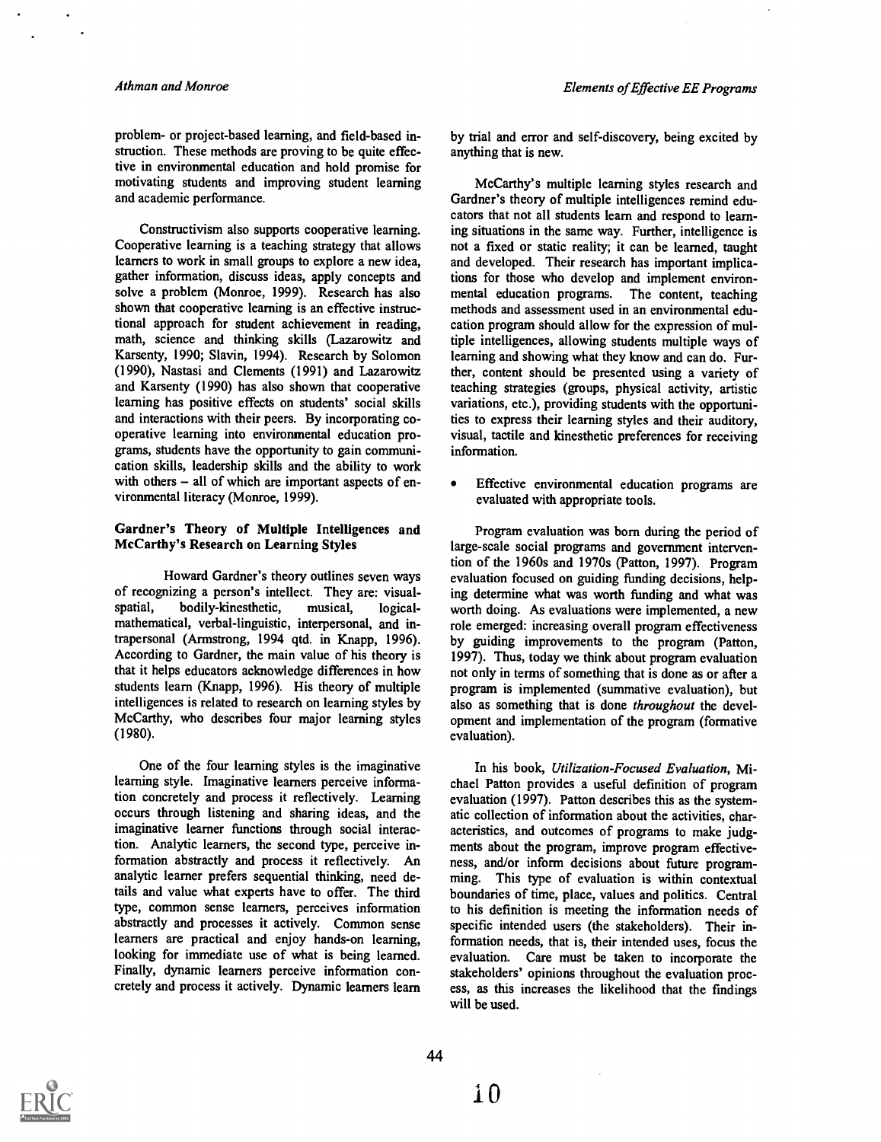problem- or project-based learning, and field-based instruction. These methods are proving to be quite effective in environmental education and hold promise for motivating students and improving student learning and academic performance.

Constructivism also supports cooperative learning. Cooperative learning is a teaching strategy that allows learners to work in small groups to explore a new idea, gather information, discuss ideas, apply concepts and solve a problem (Monroe, 1999). Research has also shown that cooperative learning is an effective instructional approach for student achievement in reading, math, science and thinking skills (Lazarowitz and Karsenty, 1990; Slavin, 1994). Research by Solomon (1990), Nastasi and Clements (1991) and Lazarowitz and Karsenty (1990) has also shown that cooperative learning has positive effects on students' social skills and interactions with their peers. By incorporating cooperative learning into environmental education programs, students have the opportunity to gain communication skills, leadership skills and the ability to work with others  $-$  all of which are important aspects of environmental literacy (Monroe, 1999).

#### Gardner's Theory of Multiple Intelligences and McCarthy's Research on Learning Styles

Howard Gardner's theory outlines seven ways of recognizing a person's intellect. They are: visualspatial, bodily-kinesthetic, musical, logicalmathematical, verbal-linguistic, interpersonal, and intrapersonal (Armstrong, 1994 qtd. in Knapp, 1996). According to Gardner, the main value of his theory is that it helps educators acknowledge differences in how students learn (Knapp, 1996). His theory of multiple intelligences is related to research on learning styles by McCarthy, who describes four major learning styles (1980).

One of the four learning styles is the imaginative learning style. Imaginative learners perceive information concretely and process it reflectively. Learning occurs through listening and sharing ideas, and the imaginative learner functions through social interaction. Analytic learners, the second type, perceive information abstractly and process it reflectively. An analytic learner prefers sequential thinking, need details and value what experts have to offer. The third type, common sense learners, perceives information abstractly and processes it actively. Common sense learners are practical and enjoy hands-on learning, looking for immediate use of what is being learned. Finally, dynamic learners perceive information concretely and process it actively. Dynamic learners learn

by trial and error and self-discovery, being excited by anything that is new.

McCarthy's multiple learning styles research and Gardner's theory of multiple intelligences remind educators that not all students learn and respond to learning situations in the same way. Further, intelligence is not a fixed or static reality; it can be learned, taught and developed. Their research has important implications for those who develop and implement environmental education programs. The content, teaching methods and assessment used in an environmental education program should allow for the expression of multiple intelligences, allowing students multiple ways of learning and showing what they know and can do. Further, content should be presented using a variety of teaching strategies (groups, physical activity, artistic variations, etc.), providing students with the opportunities to express their learning styles and their auditory, visual, tactile and kinesthetic preferences for receiving information.

Effective environmental education programs are evaluated with appropriate tools.

Program evaluation was born during the period of large-scale social programs and government intervention of the 1960s and 1970s (Patton, 1997). Program evaluation focused on guiding funding decisions, helping determine what was worth ftinding and what was worth doing. As evaluations were implemented, a new role emerged: increasing overall program effectiveness by guiding improvements to the program (Patton, 1997). Thus, today we think about program evaluation not only in terms of something that is done as or after a program is implemented (summative evaluation), but also as something that is done throughout the development and implementation of the program (formative evaluation).

In his book, Utilization-Focused Evaluation, Michael Patton provides a useful definition of program evaluation (1997). Patton describes this as the systematic collection of information about the activities, characteristics, and outcomes of programs to make judgments about the program, improve program effectiveness, and/or inform decisions about future programming. This type of evaluation is within contextual boundaries of time, place, values and politics. Central to his definition is meeting the information needs of specific intended users (the stakeholders). Their information needs, that is, their intended uses, focus the evaluation. Care must be taken to incorporate the stakeholders' opinions throughout the evaluation process, as this increases the likelihood that the fmdings will be used.

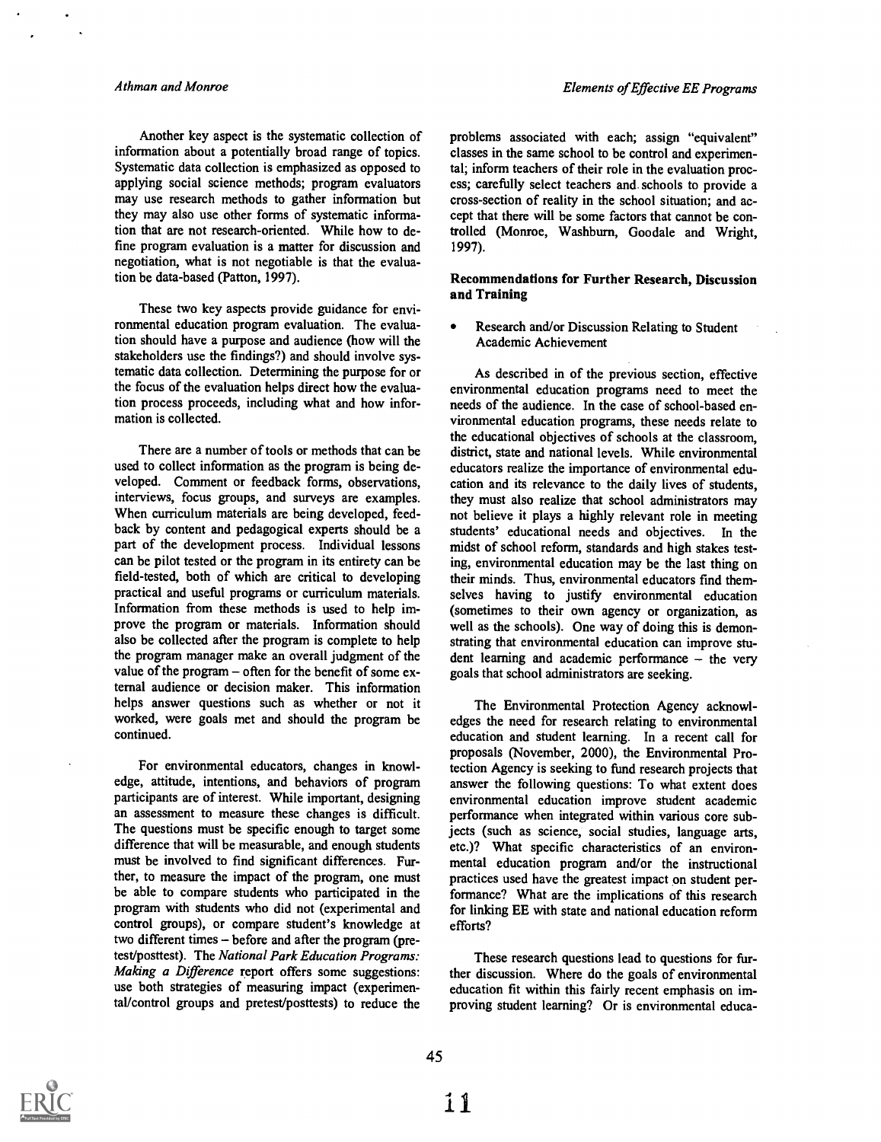Another key aspect is the systematic collection of information about a potentially broad range of topics. Systematic data collection is emphasized as opposed to applying social science methods; program evaluators may use research methods to gather information but they may also use other forms of systematic information that are not research-oriented. While how to define program evaluation is a matter for discussion and negotiation, what is not negotiable is that the evaluation be data-based (Patton, 1997).

These two key aspects provide guidance for environmental education program evaluation. The evaluation should have a purpose and audience (how will the stakeholders use the findings?) and should involve systematic data collection. Determining the purpose for or the focus of the evaluation helps direct how the evaluation process proceeds, including what and how information is collected.

There are a number of tools or methods that can be used to collect information as the program is being developed. Comment or feedback forms, observations, interviews, focus groups, and surveys are examples. When curriculum materials are being developed, feedback by content and pedagogical experts should be a part of the development process. Individual lessons can be pilot tested or the program in its entirety can be field-tested, both of which are critical to developing practical and useful programs or curriculum materials. Information from these methods is used to help improve the program or materials. Information should also be collected after the program is complete to help the program manager make an overall judgment of the value of the program - often for the benefit of some external audience or decision maker. This information helps answer questions such as whether or not it worked, were goals met and should the program be continued.

For environmental educators, changes in knowledge, attitude, intentions, and behaviors of program participants are of interest. While important, designing an assessment to measure these changes is difficult. The questions must be specific enough to target some difference that will be measurable, and enough students must be involved to find significant differences. Further, to measure the impact of the program, one must be able to compare students who participated in the program with students who did not (experimental and control groups), or compare student's knowledge at two different times - before and after the program (pretest/posttest). The National Park Education Programs: Making a Difference report offers some suggestions: use both strategies of measuring impact (experimental/control groups and pretest/posttests) to reduce the

problems associated with each; assign "equivalent" classes in the same school to be control and experimental; inform teachers of their role in the evaluation process; carefully select teachers and schools to provide a cross-section of reality in the school situation; and accept that there will be some factors that cannot be controlled (Monroe, Washburn, Goodale and Wright, 1997).

#### Recommendations for Further Research, Discussion and Training

Research and/or Discussion Relating to Student Academic Achievement

As described in of the previous section, effective environmental education programs need to meet the needs of the audience. In the case of school-based environmental education programs, these needs relate to the educational objectives of schools at the classroom, district, state and national levels. While environmental educators realize the importance of environmental education and its relevance to the daily lives of students, they must also realize that school administrators may not believe it plays a highly relevant role in meeting students' educational needs and objectives. In the midst of school reform, standards and high stakes testing, environmental education may be the last thing on their minds. Thus, environmental educators fmd themselves having to justify environmental education (sometimes to their own agency or organization, as well as the schools). One way of doing this is demonstrating that environmental education can improve student learning and academic performance  $-$  the very goals that school administrators are seeking.

The Environmental Protection Agency acknowledges the need for research relating to environmental education and student learning. In a recent call for proposals (November, 2000), the Environmental Protection Agency is seeking to fund research projects that answer the following questions: To what extent does environmental education improve student academic performance when integrated within various core subjects (such as science, social studies, language arts, etc.)? What specific characteristics of an environmental education program and/or the instructional practices used have the greatest impact on student performance? What are the implications of this research for linking EE with state and national education reform efforts?

These research questions lead to questions for further discussion. Where do the goals of environmental education fit within this fairly recent emphasis on improving student learning? Or is environmental educa-

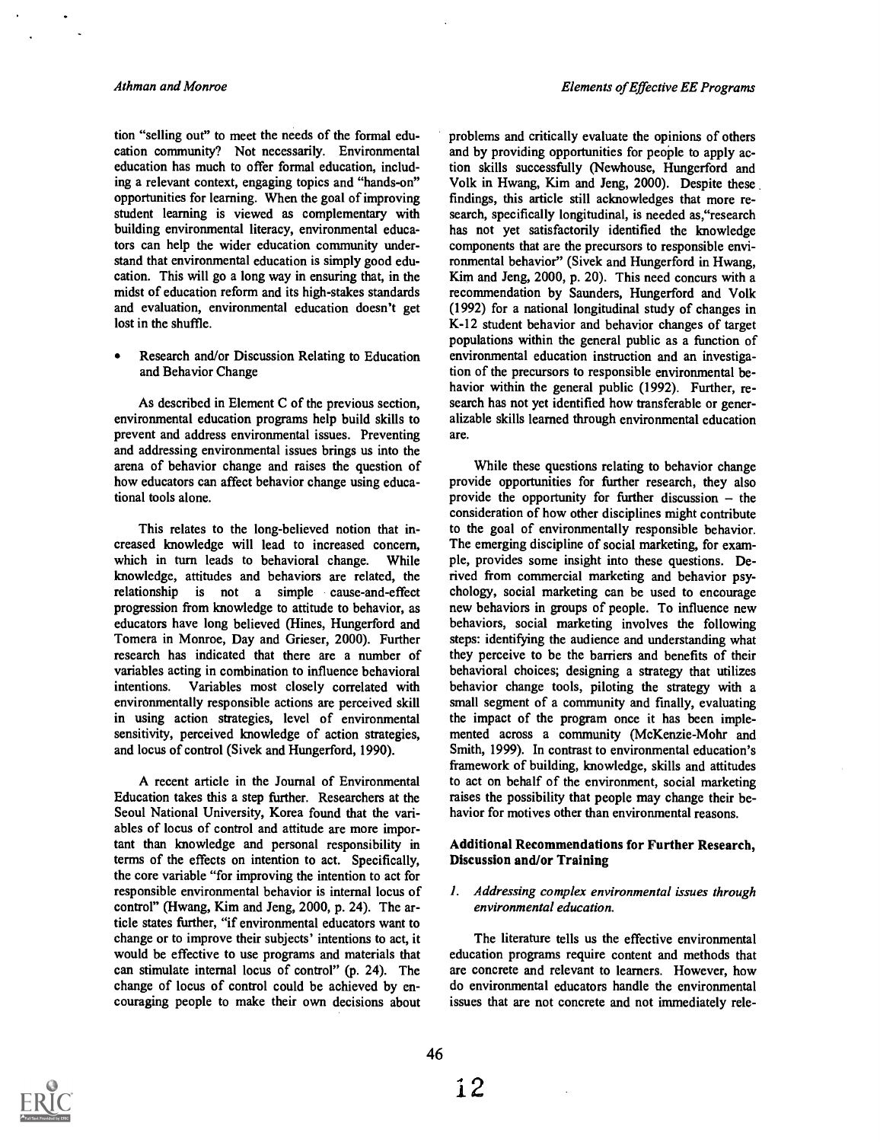tion "selling out" to meet the needs of the formal education community? Not necessarily. Environmental education has much to offer formal education, including a relevant context, engaging topics and "hands-on" opportunities for learning. When the goal of improving student learning is viewed as complementary with building environmental literacy, environmental educators can help the wider education community understand that environmental education is simply good education. This will go a long way in ensuring that, in the midst of education reform and its high-stakes standards and evaluation, environmental education doesn't get lost in the shuffle.

Research and/or Discussion Relating to Education and Behavior Change

As described in Element C of the previous section, environmental education programs help build skills to prevent and address environmental issues. Preventing and addressing environmental issues brings us into the arena of behavior change and raises the question of how educators can affect behavior change using educational tools alone.

This relates to the long-believed notion that increased knowledge will lead to increased concern, which in turn leads to behavioral change. While knowledge, attitudes and behaviors are related, the relationship is not a simple cause-and-effect progression from knowledge to attitude to behavior, as educators have long believed (Hines, Hungerford and Tomera in Monroe, Day and Grieser, 2000). Further research has indicated that there are a number of variables acting in combination to influence behavioral intentions. Variables most closely correlated with environmentally responsible actions are perceived skill in using action strategies, level of environmental sensitivity, perceived knowledge of action strategies, and locus of control (Sivek and Hungerford, 1990).

A recent article in the Journal of Environmental Education takes this a step further. Researchers at the Seoul National University, Korea found that the variables of locus of control and attitude are more important than knowledge and personal responsibility in terms of the effects on intention to act. Specifically, the core variable "for improving the intention to act for responsible environmental behavior is internal locus of control" (Hwang, Kim and Jeng, 2000, p. 24). The article states further, "if environmental educators want to change or to improve their subjects' intentions to act, it would be effective to use programs and materials that can stimulate internal locus of control" (p. 24). The change of locus of control could be achieved by encouraging people to make their own decisions about

problems and critically evaluate the opinions of others and by providing opportunities for people to apply action skills successfully (Newhouse, Hungerford and Volk in Hwang, Kim and Jeng, 2000). Despite these findings, this article still acknowledges that more research, specifically longitudinal, is needed as,"research has not yet satisfactorily identified the knowledge components that are the precursors to responsible environmental behavior" (Sivek and Hungerford in Hwang, Kim and Jeng, 2000, p. 20). This need concurs with a recommendation by Saunders, Hungerford and Volk (1992) for a national longitudinal study of changes in K-12 student behavior and behavior changes of target populations within the general public as a function of environmental education instruction and an investigation of the precursors to responsible environmental behavior within the general public (1992). Further, research has not yet identified how transferable or generalizable skills learned through environmental education are.

While these questions relating to behavior change provide opportunities for further research, they also provide the opportunity for further discussion  $-$  the consideration of how other disciplines might contribute to the goal of environmentally responsible behavior. The emerging discipline of social marketing, for example, provides some insight into these questions. Derived from commercial marketing and behavior psychology, social marketing can be used to encourage new behaviors in groups of people. To influence new behaviors, social marketing involves the following steps: identifying the audience and understanding what they perceive to be the barriers and benefits of their behavioral choices; designing a strategy that utilizes behavior change tools, piloting the strategy with a small segment of a community and fmally, evaluating the impact of the program once it has been implemented across a community (McKenzie-Mohr and Smith, 1999). In contrast to environmental education's framework of building, knowledge, skills and attitudes to act on behalf of the environment, social marketing raises the possibility that people may change their behavior for motives other than environmental reasons.

#### Additional Recommendations for Further Research, Discussion and/or Training

#### I. Addressing complex environmental issues through environmental education.

The literature tells us the effective environmental education programs require content and methods that are concrete and relevant to learners. However, how do environmental educators handle the environmental issues that are not concrete and not immediately rele-

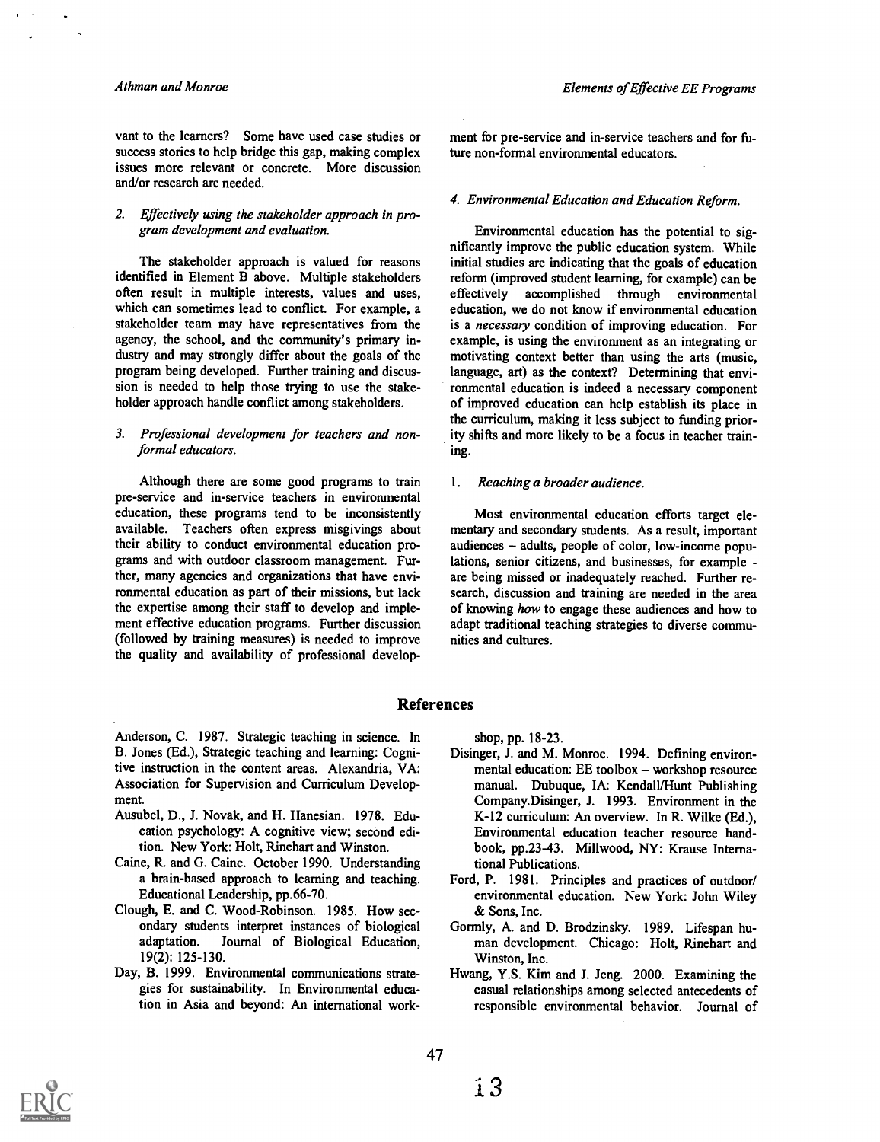#### Athman and Monroe

vant to the learners? Some have used case studies or success stories to help bridge this gap, making complex issues more relevant or concrete. More discussion and/or research are needed.

#### 2. Effectively using the stakeholder approach in program development and evaluation.

The stakeholder approach is valued for reasons identified in Element B above. Multiple stakeholders often result in multiple interests, values and uses, which can sometimes lead to conflict. For example, a stakeholder team may have representatives from the agency, the school, and the community's primary industry and may strongly differ about the goals of the program being developed. Further training and discussion is needed to help those trying to use the stakeholder approach handle conflict among stakeholders.

#### 3. Professional development for teachers and nonformal educators.

Although there are some good programs to train 1. pre-service and in-service teachers in environmental education, these programs tend to be inconsistently available. Teachers often express misgivings about their ability to conduct environmental education programs and with outdoor classroom management. Further, many agencies and organizations that have environmental education as part of their missions, but lack the expertise among their staff to develop and implement effective education programs. Further discussion (followed by training measures) is needed to improve the quality and availability of professional develop-

ment for pre-service and in-service teachers and for future non-formal environmental educators.

#### 4. Environmental Education and Education Reform.

Enviromnental education has the potential to significantly improve the public education system. While initial studies are indicating that the goals of education reform (improved student learning, for example) can be effectively accomplished through environmental education, we do not know if environmental education is a necessary condition of improving education. For example, is using the environment as an integrating or motivating context better than using the arts (music, language, art) as the context? Determining that environmental education is indeed a necessary component of improved education can help establish its place in the curriculum, making it less subject to funding priority shifts and more likely to be a focus in teacher training.

#### Reaching a broader audience.

Most environmental education efforts target elementary and secondary students. As a result, important audiences - adults, people of color, low-income populations, senior citizens, and businesses, for example are being missed or inadequately reached. Further research, discussion and training are needed in the area of knowing how to engage these audiences and how to adapt traditional teaching strategies to diverse communities and cultures.

#### References

Anderson, C. 1987. Strategic teaching in science. In B. Jones (Ed.), Strategic teaching and learning: Cognitive instruction in the content areas. Alexandria, VA: Association for Supervision and Curriculum Development.

- Ausubel, D., J. Novak, and H. Hanesian. 1978. Education psychology: A cognitive view; second edition. New York: Holt, Rinehart and Winston.
- Caine, R. and G. Caine. October 1990. Understanding a brain-based approach to learning and teaching. Educational Leadership, pp.66-70.
- Clough, E. and C. Wood-Robinson. 1985. How secondary students interpret instances of biological Journal of Biological Education, 19(2): 125-130.
- Day, B. 1999. Environmental communications strategies for sustainability. In Environmental education in Asia and beyond: An international work-

shop, pp. 18-23.

- Disinger, J. and M. Monroe. 1994. Defining environmental education:  $EE$  toolbox  $-$  workshop resource manual. Dubuque, IA: Kendall/Hunt Publishing Company.Disinger, J. 1993. Environment in the K-12 curriculum: An overview. In R. Wilke (Ed.), Environmental education teacher resource handbook, pp.23-43. Millwood, NY: Krause International Publications.
- Ford, P. 1981. Principles and practices of outdoor/ environmental education. New York: John Wiley & Sons, Inc.
- Gormly, A. and D. Brodzinsky. 1989. Lifespan human development. Chicago: Holt, Rinehart and Winston, Inc.
- Hwang, Y.S. Kim and J. Jeng. 2000. Examining the casual relationships among selected antecedents of responsible environmental behavior. Journal of

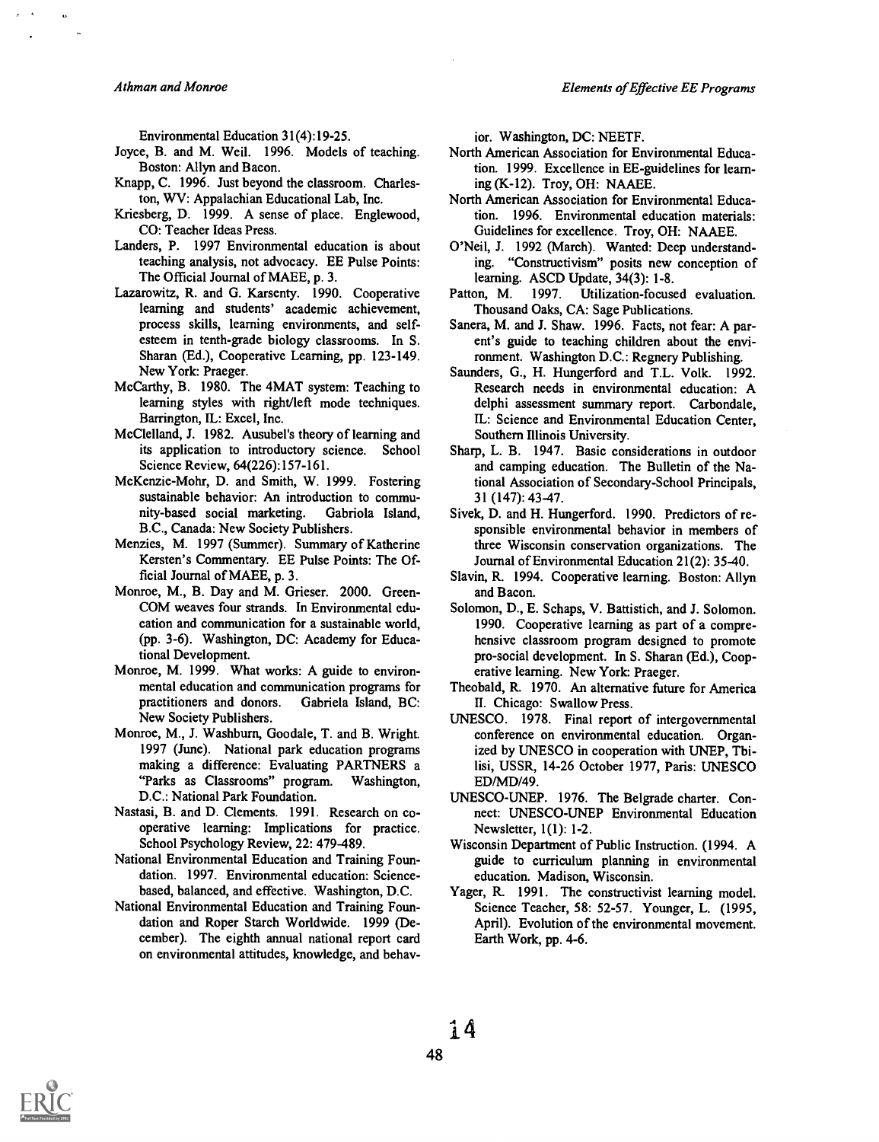A thman and Monroe

Environmental Education 31(4):19-25.

- Joyce, B. and M. Weil. 1996. Models of teaching. Boston: Allyn and Bacon.
- Knapp, C. 1996. Just beyond the classroom. Charleston, WV: Appalachian Educational Lab, Inc.
- Kriesberg, D. 1999. A sense of place. Englewood, CO: Teacher Ideas Press.
- Landers, P. 1997 Environmental education is about teaching analysis, not advocacy. EE Pulse Points: The Official Journal of MAEE, p. 3.
- Lazarowitz, R. and G. Karsenty. 1990. Cooperative Patton, M. learning and students' academic achievement, process skills, learning environments, and selfesteem in tenth-grade biology classrooms. In S. Sharan (Ed.), Cooperative Learning, pp. 123-149. New York: Praeger.
- McCarthy, B. 1980. The 4MAT system: Teaching to learning styles with right/left mode techniques. Barrington, IL: Excel, Inc.
- McClelland, J. 1982. Ausubel's theory of learning and its application to introductory science. School Science Review, 64(226):157-161.
- McKenzie-Mohr, D. and Smith, W. 1999. Fostering sustainable behavior: An introduction to community-based social marketing. Gabriola Island, B.C., Canada: New Society Publishers.
- Menzies, M. 1997 (Summer). Summary of Katherine Kersten's Commentary. EE Pulse Points: The Official Journal of MAEE, p. 3.
- Monroe, M., B. Day and M. Grieser. 2000. Green-COM weaves four strands. In Environmental education and communication for a sustainable world, (pp. 3-6). Washington, DC: Academy for Educational Development.
- Monroe, M. 1999. What works: A guide to environmental education and communication programs for practitioners and donors. Gabriela Island, BC: New Society Publishers.
- Monroe, M., J. Washburn, Goodale, T. and B. Wright. 1997 (June). National park education programs making a difference: Evaluating PARTNERS a "Parks as Classrooms" program. Washington, D.C.: National Park Foundation.
- Nastasi, B. and D. Clements. 1991. Research on cooperative learning: Implications for practice. School Psychology Review, 22: 479-489.
- National Environmental Education and Training Foundation. 1997. Environmental education: Sciencebased, balanced, and effective. Washington, D.C.
- National Environmental Education and Training Foundation and Roper Starch Worldwide. 1999 (December). The eighth annual national report card on environmental attitudes, knowledge, and behav-

ior. Washington, DC: NEETF.

- North American Association for Environmental Education. 1999. Excellence in EE-guidelines for learning (K-12). Troy, OH: NAAEE.
- North American Association for Environmental Education. 1996. Environmental education materials: Guidelines for excellence. Troy, OH: NAAEE.
- O'Neil, J. 1992 (March). Wanted: Deep understanding. "Constructivism" posits new conception of learning. ASCD Update, 34(3): 1-8.<br>on, M. 1997. Utilization-focus
- Utilization-focused evaluation. Thousand Oaks, CA: Sage Publications.
- Sanera, M. and J. Shaw. 1996. Facts, not fear: A parent's guide to teaching children about the environment. Washington D.C.: Regnery Publishing.
- Saunders, G., H. Hungerford and T.L. Volk. 1992. Research needs in environmental education: A delphi assessment summary report. Carbondale, IL: Science and Environmental Education Center, Southern Illinois University.
- Sharp, L. B. 1947. Basic considerations in outdoor and camping education. The Bulletin of the National Association of Secondary-School Principals, 31 (147): 43-47.
- Sivek, D. and H. Hungerford. 1990. Predictors of responsible environmental behavior in members of three Wisconsin conservation organizations. The Journal of Environmental Education 21(2): 35-40.
- Slavin, R. 1994. Cooperative learning. Boston: Allyn and Bacon.
- Solomon, D., E. Schaps, V. Battistich, and J. Solomon. 1990. Cooperative learning as part of a comprehensive classroom program designed to promote pro-social development. In S. Sharan (Ed.), Cooperative learning. New York: Praeger.
- Theobald, R. 1970. An alternative future for America II. Chicago: Swallow Press.
- UNESCO. 1978. Final report of intergovernmental conference on environmental education. Organized by UNESCO in cooperation with UNEP, Tbilisi, USSR, 14-26 October 1977, Paris: UNESCO ED/MD/49.
- UNESCO-UNEP. 1976. The Belgrade charter. Connect: UNESCO-UNEP Environmental Education Newsletter, 1(1): 1-2.
- Wisconsin Department of Public Instruction. (1994. A guide to curriculum planning in environmental education. Madison, Wisconsin.
- Yager, R. 1991. The constructivist learning model. Science Teacher, 58: 52-57. Younger, L. (1995, April). Evolution of the environmental movement. Earth Work, pp. 4-6.

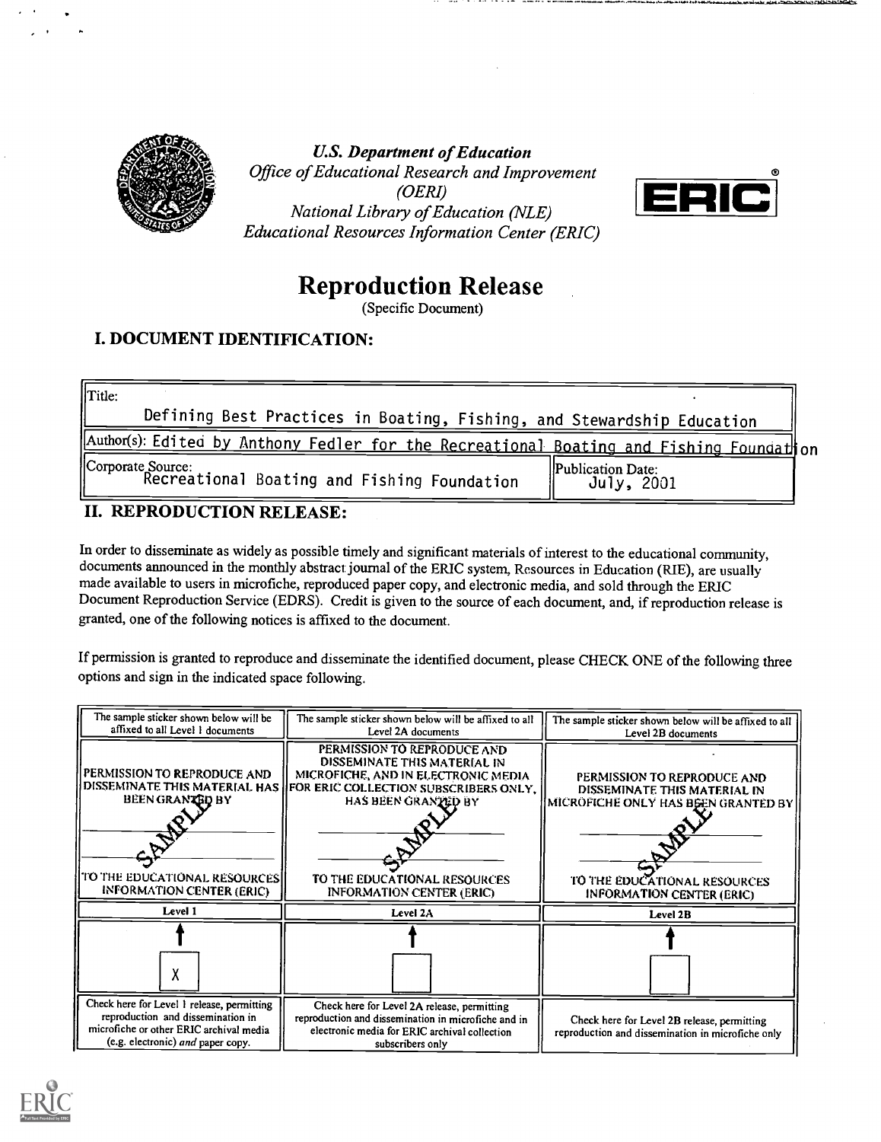

U.S. Department of Education Office of Educational Research and Improvement (OERI) National Library of Education (NLE) Educational Resources Information Center (ERIC)



# Reproduction Release

(Specific Document)

# I. DOCUMENT IDENTIFICATION:

| Title:                                                                                  |                                         |
|-----------------------------------------------------------------------------------------|-----------------------------------------|
| Defining Best Practices in Boating, Fishing, and Stewardship Education                  |                                         |
| Author(s): Edited by Anthony Fedler for the Recreational Boating and Fishing Foundathon |                                         |
| Corporate Source:<br>Recreational Boating and Fishing Foundation                        | <b>IPublication Date:</b><br>July, 2001 |

## II. REPRODUCTION RELEASE:

In order to disseminate as widely as possible timely and significant materials of interest to the educational community, documents announced in the monthly abstract journal of the ERIC system, Resources in Education (RIE), are usually made available to users in microfiche, reproduced paper copy, and electronic media, and sold through the ERIC Document Reproduction Service (EDRS). Credit is given to the source of each document, and, if reproduction release is granted, one of the following notices is affixed to the document.

If permission is granted to reproduce and disseminate the identified document, please CHECK ONE of the following three options and sign in the indicated space following.